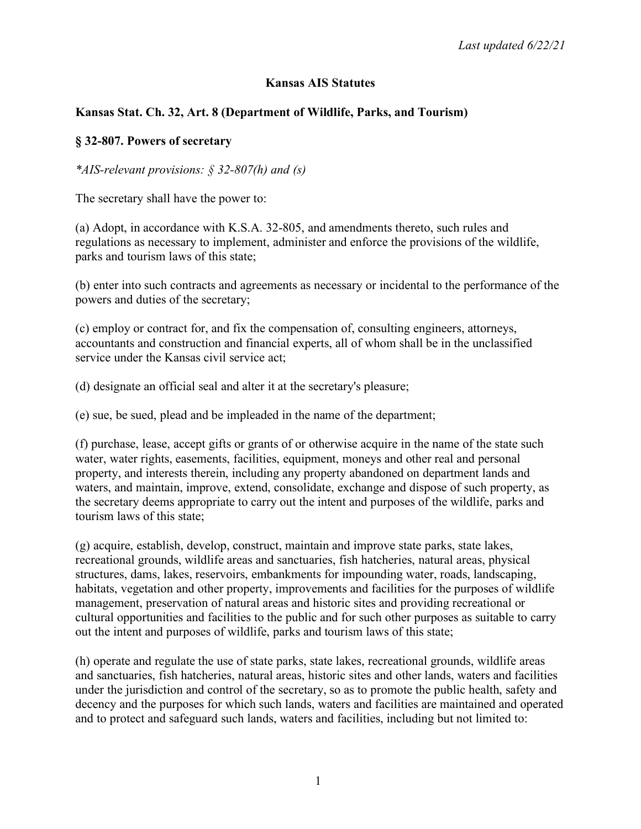## **Kansas AIS Statutes**

## **Kansas Stat. Ch. 32, Art. 8 (Department of Wildlife, Parks, and Tourism)**

### **§ 32-807. Powers of secretary**

*\*AIS-relevant provisions: § 32-807(h) and (s)*

The secretary shall have the power to:

(a) Adopt, in accordance with K.S.A. 32-805, and amendments thereto, such rules and regulations as necessary to implement, administer and enforce the provisions of the wildlife, parks and tourism laws of this state;

(b) enter into such contracts and agreements as necessary or incidental to the performance of the powers and duties of the secretary;

(c) employ or contract for, and fix the compensation of, consulting engineers, attorneys, accountants and construction and financial experts, all of whom shall be in the unclassified service under the Kansas civil service act;

(d) designate an official seal and alter it at the secretary's pleasure;

(e) sue, be sued, plead and be impleaded in the name of the department;

(f) purchase, lease, accept gifts or grants of or otherwise acquire in the name of the state such water, water rights, easements, facilities, equipment, moneys and other real and personal property, and interests therein, including any property abandoned on department lands and waters, and maintain, improve, extend, consolidate, exchange and dispose of such property, as the secretary deems appropriate to carry out the intent and purposes of the wildlife, parks and tourism laws of this state;

(g) acquire, establish, develop, construct, maintain and improve state parks, state lakes, recreational grounds, wildlife areas and sanctuaries, fish hatcheries, natural areas, physical structures, dams, lakes, reservoirs, embankments for impounding water, roads, landscaping, habitats, vegetation and other property, improvements and facilities for the purposes of wildlife management, preservation of natural areas and historic sites and providing recreational or cultural opportunities and facilities to the public and for such other purposes as suitable to carry out the intent and purposes of wildlife, parks and tourism laws of this state;

(h) operate and regulate the use of state parks, state lakes, recreational grounds, wildlife areas and sanctuaries, fish hatcheries, natural areas, historic sites and other lands, waters and facilities under the jurisdiction and control of the secretary, so as to promote the public health, safety and decency and the purposes for which such lands, waters and facilities are maintained and operated and to protect and safeguard such lands, waters and facilities, including but not limited to: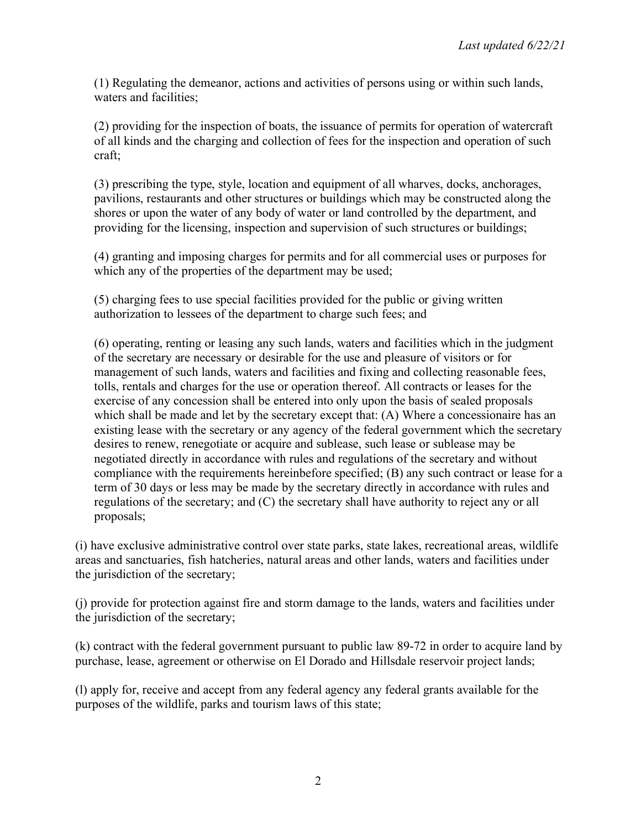(1) Regulating the demeanor, actions and activities of persons using or within such lands, waters and facilities;

(2) providing for the inspection of boats, the issuance of permits for operation of watercraft of all kinds and the charging and collection of fees for the inspection and operation of such craft;

(3) prescribing the type, style, location and equipment of all wharves, docks, anchorages, pavilions, restaurants and other structures or buildings which may be constructed along the shores or upon the water of any body of water or land controlled by the department, and providing for the licensing, inspection and supervision of such structures or buildings;

(4) granting and imposing charges for permits and for all commercial uses or purposes for which any of the properties of the department may be used;

(5) charging fees to use special facilities provided for the public or giving written authorization to lessees of the department to charge such fees; and

(6) operating, renting or leasing any such lands, waters and facilities which in the judgment of the secretary are necessary or desirable for the use and pleasure of visitors or for management of such lands, waters and facilities and fixing and collecting reasonable fees, tolls, rentals and charges for the use or operation thereof. All contracts or leases for the exercise of any concession shall be entered into only upon the basis of sealed proposals which shall be made and let by the secretary except that: (A) Where a concessionaire has an existing lease with the secretary or any agency of the federal government which the secretary desires to renew, renegotiate or acquire and sublease, such lease or sublease may be negotiated directly in accordance with rules and regulations of the secretary and without compliance with the requirements hereinbefore specified; (B) any such contract or lease for a term of 30 days or less may be made by the secretary directly in accordance with rules and regulations of the secretary; and (C) the secretary shall have authority to reject any or all proposals;

(i) have exclusive administrative control over state parks, state lakes, recreational areas, wildlife areas and sanctuaries, fish hatcheries, natural areas and other lands, waters and facilities under the jurisdiction of the secretary;

(j) provide for protection against fire and storm damage to the lands, waters and facilities under the jurisdiction of the secretary;

(k) contract with the federal government pursuant to public law 89-72 in order to acquire land by purchase, lease, agreement or otherwise on El Dorado and Hillsdale reservoir project lands;

(l) apply for, receive and accept from any federal agency any federal grants available for the purposes of the wildlife, parks and tourism laws of this state;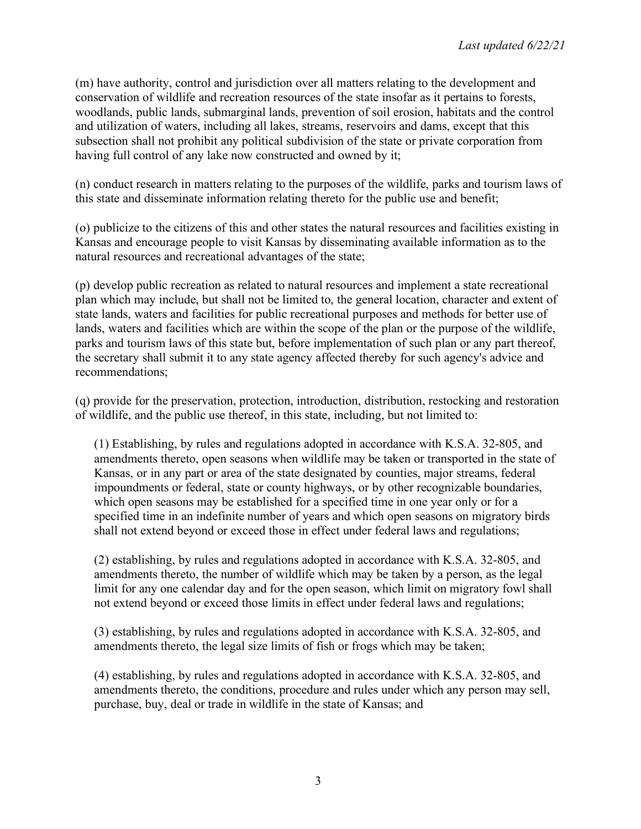(m) have authority, control and jurisdiction over all matters relating to the development and conservation of wildlife and recreation resources of the state insofar as it pertains to forests, woodlands, public lands, submarginal lands, prevention of soil erosion, habitats and the control and utilization of waters, including all lakes, streams, reservoirs and dams, except that this subsection shall not prohibit any political subdivision of the state or private corporation from having full control of any lake now constructed and owned by it;

(n) conduct research in matters relating to the purposes of the wildlife, parks and tourism laws of this state and disseminate information relating thereto for the public use and benefit;

(o) publicize to the citizens of this and other states the natural resources and facilities existing in Kansas and encourage people to visit Kansas by disseminating available information as to the natural resources and recreational advantages of the state;

(p) develop public recreation as related to natural resources and implement a state recreational plan which may include, but shall not be limited to, the general location, character and extent of state lands, waters and facilities for public recreational purposes and methods for better use of lands, waters and facilities which are within the scope of the plan or the purpose of the wildlife, parks and tourism laws of this state but, before implementation of such plan or any part thereof, the secretary shall submit it to any state agency affected thereby for such agency's advice and recommendations;

(q) provide for the preservation, protection, introduction, distribution, restocking and restoration of wildlife, and the public use thereof, in this state, including, but not limited to:

(1) Establishing, by rules and regulations adopted in accordance with K.S.A. 32-805, and amendments thereto, open seasons when wildlife may be taken or transported in the state of Kansas, or in any part or area of the state designated by counties, major streams, federal impoundments or federal, state or county highways, or by other recognizable boundaries, which open seasons may be established for a specified time in one year only or for a specified time in an indefinite number of years and which open seasons on migratory birds shall not extend beyond or exceed those in effect under federal laws and regulations;

(2) establishing, by rules and regulations adopted in accordance with K.S.A. 32-805, and amendments thereto, the number of wildlife which may be taken by a person, as the legal limit for any one calendar day and for the open season, which limit on migratory fowl shall not extend beyond or exceed those limits in effect under federal laws and regulations;

(3) establishing, by rules and regulations adopted in accordance with K.S.A. 32-805, and amendments thereto, the legal size limits of fish or frogs which may be taken;

(4) establishing, by rules and regulations adopted in accordance with K.S.A. 32-805, and amendments thereto, the conditions, procedure and rules under which any person may sell, purchase, buy, deal or trade in wildlife in the state of Kansas; and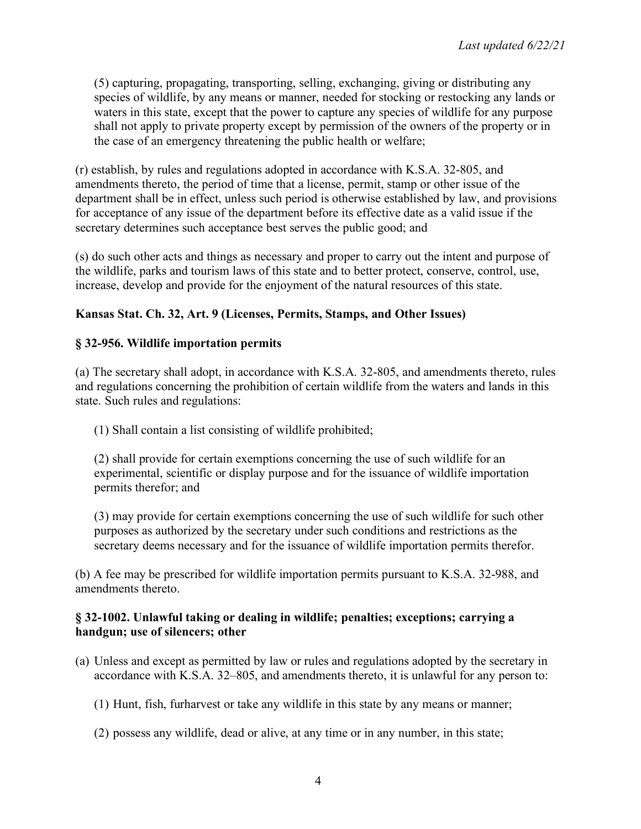(5) capturing, propagating, transporting, selling, exchanging, giving or distributing any species of wildlife, by any means or manner, needed for stocking or restocking any lands or waters in this state, except that the power to capture any species of wildlife for any purpose shall not apply to private property except by permission of the owners of the property or in the case of an emergency threatening the public health or welfare;

(r) establish, by rules and regulations adopted in accordance with K.S.A. 32-805, and amendments thereto, the period of time that a license, permit, stamp or other issue of the department shall be in effect, unless such period is otherwise established by law, and provisions for acceptance of any issue of the department before its effective date as a valid issue if the secretary determines such acceptance best serves the public good; and

(s) do such other acts and things as necessary and proper to carry out the intent and purpose of the wildlife, parks and tourism laws of this state and to better protect, conserve, control, use, increase, develop and provide for the enjoyment of the natural resources of this state.

# **Kansas Stat. Ch. 32, Art. 9 (Licenses, Permits, Stamps, and Other Issues)**

## **§ 32-956. Wildlife importation permits**

(a) The secretary shall adopt, in accordance with K.S.A. 32-805, and amendments thereto, rules and regulations concerning the prohibition of certain wildlife from the waters and lands in this state. Such rules and regulations:

(1) Shall contain a list consisting of wildlife prohibited;

(2) shall provide for certain exemptions concerning the use of such wildlife for an experimental, scientific or display purpose and for the issuance of wildlife importation permits therefor; and

(3) may provide for certain exemptions concerning the use of such wildlife for such other purposes as authorized by the secretary under such conditions and restrictions as the secretary deems necessary and for the issuance of wildlife importation permits therefor.

(b) A fee may be prescribed for wildlife importation permits pursuant to K.S.A. 32-988, and amendments thereto.

### **§ 32-1002. Unlawful taking or dealing in wildlife; penalties; exceptions; carrying a handgun; use of silencers; other**

- (a) Unless and except as permitted by law or rules and regulations adopted by the secretary in accordance with K.S.A. 32–805, and amendments thereto, it is unlawful for any person to:
	- (1) Hunt, fish, furharvest or take any wildlife in this state by any means or manner;
	- (2) possess any wildlife, dead or alive, at any time or in any number, in this state;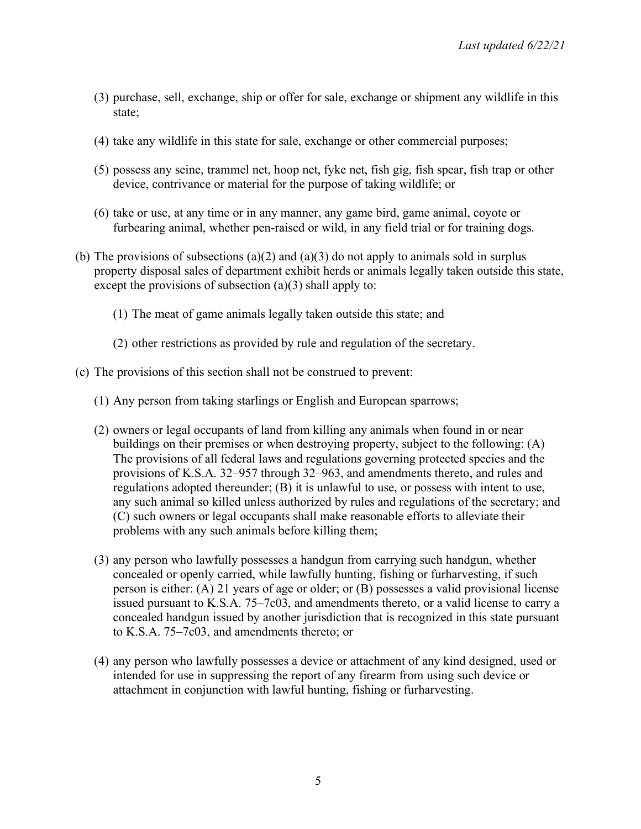- (3) purchase, sell, exchange, ship or offer for sale, exchange or shipment any wildlife in this state;
- (4) take any wildlife in this state for sale, exchange or other commercial purposes;
- (5) possess any seine, trammel net, hoop net, fyke net, fish gig, fish spear, fish trap or other device, contrivance or material for the purpose of taking wildlife; or
- (6) take or use, at any time or in any manner, any game bird, game animal, coyote or furbearing animal, whether pen-raised or wild, in any field trial or for training dogs.
- (b) The provisions of subsections (a)(2) and (a)(3) do not apply to animals sold in surplus property disposal sales of department exhibit herds or animals legally taken outside this state, except the provisions of subsection  $(a)(3)$  shall apply to:
	- (1) The meat of game animals legally taken outside this state; and
	- (2) other restrictions as provided by rule and regulation of the secretary.
- (c) The provisions of this section shall not be construed to prevent:
	- (1) Any person from taking starlings or English and European sparrows;
	- (2) owners or legal occupants of land from killing any animals when found in or near buildings on their premises or when destroying property, subject to the following: (A) The provisions of all federal laws and regulations governing protected species and the provisions of K.S.A. 32–957 through 32–963, and amendments thereto, and rules and regulations adopted thereunder; (B) it is unlawful to use, or possess with intent to use, any such animal so killed unless authorized by rules and regulations of the secretary; and (C) such owners or legal occupants shall make reasonable efforts to alleviate their problems with any such animals before killing them;
	- (3) any person who lawfully possesses a handgun from carrying such handgun, whether concealed or openly carried, while lawfully hunting, fishing or furharvesting, if such person is either: (A) 21 years of age or older; or (B) possesses a valid provisional license issued pursuant to K.S.A. 75–7c03, and amendments thereto, or a valid license to carry a concealed handgun issued by another jurisdiction that is recognized in this state pursuant to K.S.A. 75–7c03, and amendments thereto; or
	- (4) any person who lawfully possesses a device or attachment of any kind designed, used or intended for use in suppressing the report of any firearm from using such device or attachment in conjunction with lawful hunting, fishing or furharvesting.